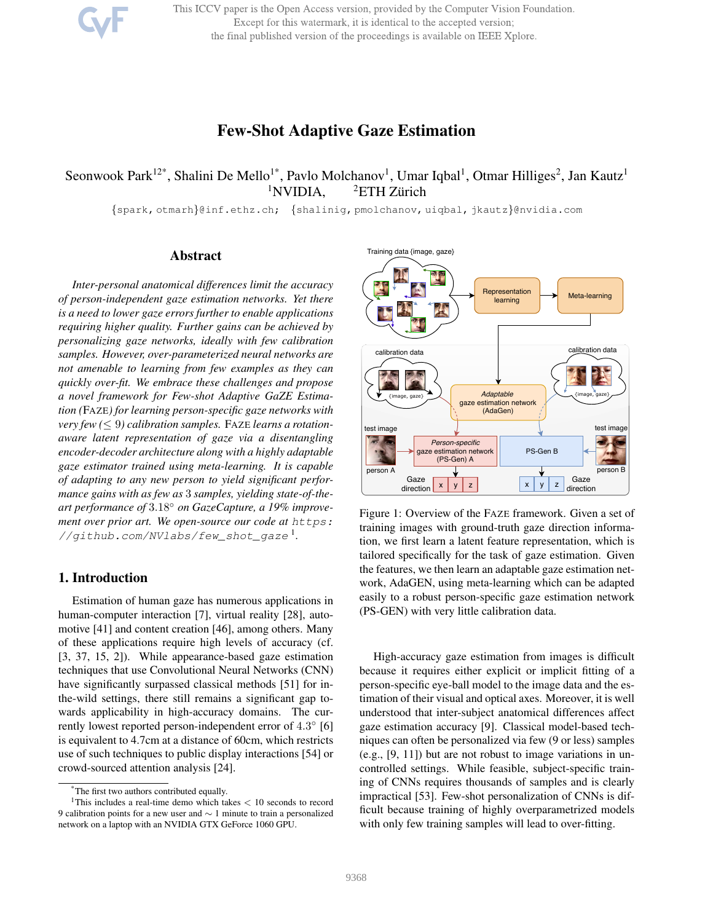This ICCV paper is the Open Access version, provided by the Computer Vision Foundation. Except for this watermark, it is identical to the accepted version; the final published version of the proceedings is available on IEEE Xplore.

# Few-Shot Adaptive Gaze Estimation

# Seonwook Park<sup>12\*</sup>, Shalini De Mello<sup>1\*</sup>, Pavlo Molchanov<sup>1</sup>, Umar Iqbal<sup>1</sup>, Otmar Hilliges<sup>2</sup>, Jan Kautz<sup>1</sup>  $1$ NVIDIA,  $2$ ETH Zürich

{spark, otmarh}@inf.ethz.ch; {shalinig, pmolchanov, uiqbal, jkautz}@nvidia.com

# Abstract

*Inter-personal anatomical differences limit the accuracy of person-independent gaze estimation networks. Yet there is a need to lower gaze errors further to enable applications requiring higher quality. Further gains can be achieved by personalizing gaze networks, ideally with few calibration samples. However, over-parameterized neural networks are not amenable to learning from few examples as they can quickly over-fit. We embrace these challenges and propose a novel framework for Few-shot Adaptive GaZE Estimation (*FAZE*) for learning person-specific gaze networks with very few (*≤ 9*) calibration samples.* FAZE *learns a rotationaware latent representation of gaze via a disentangling encoder-decoder architecture along with a highly adaptable gaze estimator trained using meta-learning. It is capable of adapting to any new person to yield significant performance gains with as few as* 3 *samples, yielding state-of-theart performance of* 3.18◦ *on GazeCapture, a 19% improvement over prior art. We open-source our code at https: //github.com/NVlabs/few\_shot\_gaze* <sup>1</sup> *.*

# 1. Introduction

Estimation of human gaze has numerous applications in human-computer interaction [7], virtual reality [28], automotive [41] and content creation [46], among others. Many of these applications require high levels of accuracy (cf. [3, 37, 15, 2]). While appearance-based gaze estimation techniques that use Convolutional Neural Networks (CNN) have significantly surpassed classical methods [51] for inthe-wild settings, there still remains a significant gap towards applicability in high-accuracy domains. The currently lowest reported person-independent error of 4.3° [6] is equivalent to 4.7cm at a distance of 60cm, which restricts use of such techniques to public display interactions [54] or crowd-sourced attention analysis [24].



Figure 1: Overview of the FAZE framework. Given a set of training images with ground-truth gaze direction information, we first learn a latent feature representation, which is tailored specifically for the task of gaze estimation. Given the features, we then learn an adaptable gaze estimation network, AdaGEN, using meta-learning which can be adapted easily to a robust person-specific gaze estimation network (PS-GEN) with very little calibration data.

High-accuracy gaze estimation from images is difficult because it requires either explicit or implicit fitting of a person-specific eye-ball model to the image data and the estimation of their visual and optical axes. Moreover, it is well understood that inter-subject anatomical differences affect gaze estimation accuracy [9]. Classical model-based techniques can often be personalized via few (9 or less) samples (e.g., [9, 11]) but are not robust to image variations in uncontrolled settings. While feasible, subject-specific training of CNNs requires thousands of samples and is clearly impractical [53]. Few-shot personalization of CNNs is difficult because training of highly overparametrized models with only few training samples will lead to over-fitting.

<sup>\*</sup>The first two authors contributed equally.

<sup>&</sup>lt;sup>1</sup>This includes a real-time demo which takes  $< 10$  seconds to record 9 calibration points for a new user and ∼ 1 minute to train a personalized network on a laptop with an NVIDIA GTX GeForce 1060 GPU.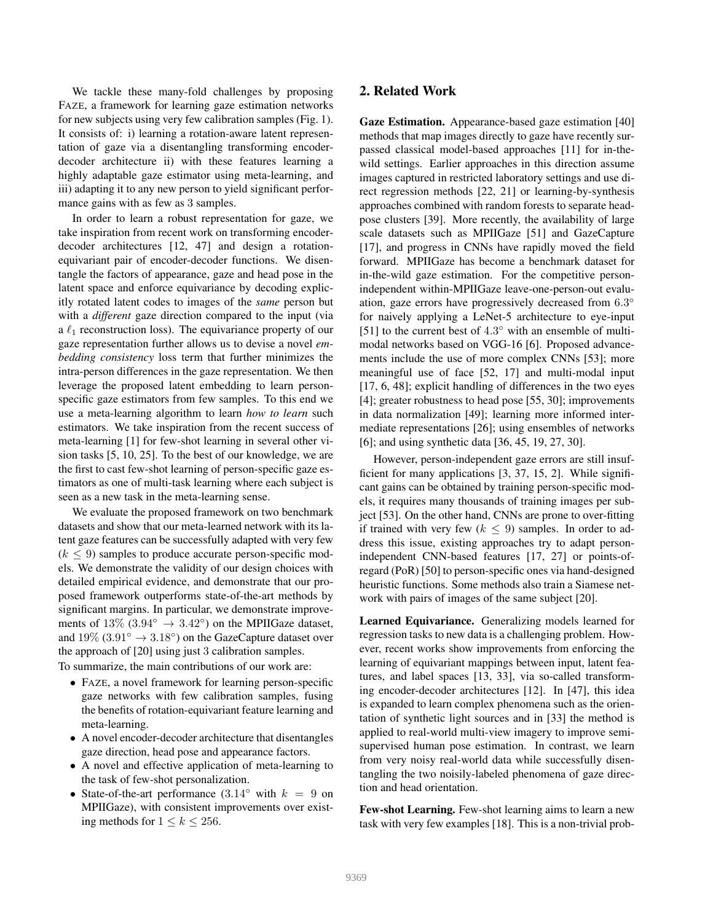We tackle these many-fold challenges by proposing FAZE, a framework for learning gaze estimation networks for new subjects using very few calibration samples (Fig. 1). It consists of: i) learning a rotation-aware latent representation of gaze via a disentangling transforming encoderdecoder architecture ii) with these features learning a highly adaptable gaze estimator using meta-learning, and iii) adapting it to any new person to yield significant performance gains with as few as 3 samples.

In order to learn a robust representation for gaze, we take inspiration from recent work on transforming encoderdecoder architectures [12, 47] and design a rotationequivariant pair of encoder-decoder functions. We disentangle the factors of appearance, gaze and head pose in the latent space and enforce equivariance by decoding explicitly rotated latent codes to images of the *same* person but with a *different* gaze direction compared to the input (via a  $\ell_1$  reconstruction loss). The equivariance property of our gaze representation further allows us to devise a novel *embedding consistency* loss term that further minimizes the intra-person differences in the gaze representation. We then leverage the proposed latent embedding to learn personspecific gaze estimators from few samples. To this end we use a meta-learning algorithm to learn *how to learn* such estimators. We take inspiration from the recent success of meta-learning [1] for few-shot learning in several other vision tasks [5, 10, 25]. To the best of our knowledge, we are the first to cast few-shot learning of person-specific gaze estimators as one of multi-task learning where each subject is seen as a new task in the meta-learning sense.

We evaluate the proposed framework on two benchmark datasets and show that our meta-learned network with its latent gaze features can be successfully adapted with very few  $(k \leq 9)$  samples to produce accurate person-specific models. We demonstrate the validity of our design choices with detailed empirical evidence, and demonstrate that our proposed framework outperforms state-of-the-art methods by significant margins. In particular, we demonstrate improvements of  $13\%$   $(3.94^{\circ} \rightarrow 3.42^{\circ})$  on the MPIIGaze dataset, and  $19\%$  (3.91°  $\rightarrow$  3.18°) on the GazeCapture dataset over the approach of [20] using just 3 calibration samples.

To summarize, the main contributions of our work are:

- FAZE, a novel framework for learning person-specific gaze networks with few calibration samples, fusing the benefits of rotation-equivariant feature learning and meta-learning.
- A novel encoder-decoder architecture that disentangles gaze direction, head pose and appearance factors.
- A novel and effective application of meta-learning to the task of few-shot personalization.
- State-of-the-art performance  $(3.14° \text{ with } k = 9 \text{ on } 10^{-10})$ MPIIGaze), with consistent improvements over existing methods for  $1 \leq k \leq 256$ .

# 2. Related Work

Gaze Estimation. Appearance-based gaze estimation [40] methods that map images directly to gaze have recently surpassed classical model-based approaches [11] for in-thewild settings. Earlier approaches in this direction assume images captured in restricted laboratory settings and use direct regression methods [22, 21] or learning-by-synthesis approaches combined with random forests to separate headpose clusters [39]. More recently, the availability of large scale datasets such as MPIIGaze [51] and GazeCapture [17], and progress in CNNs have rapidly moved the field forward. MPIIGaze has become a benchmark dataset for in-the-wild gaze estimation. For the competitive personindependent within-MPIIGaze leave-one-person-out evaluation, gaze errors have progressively decreased from  $6.3^\circ$ for naively applying a LeNet-5 architecture to eye-input [51] to the current best of  $4.3^{\circ}$  with an ensemble of multimodal networks based on VGG-16 [6]. Proposed advancements include the use of more complex CNNs [53]; more meaningful use of face [52, 17] and multi-modal input [17, 6, 48]; explicit handling of differences in the two eyes [4]; greater robustness to head pose [55, 30]; improvements in data normalization [49]; learning more informed intermediate representations [26]; using ensembles of networks [6]; and using synthetic data [36, 45, 19, 27, 30].

However, person-independent gaze errors are still insufficient for many applications [3, 37, 15, 2]. While significant gains can be obtained by training person-specific models, it requires many thousands of training images per subject [53]. On the other hand, CNNs are prone to over-fitting if trained with very few ( $k \leq 9$ ) samples. In order to address this issue, existing approaches try to adapt personindependent CNN-based features [17, 27] or points-ofregard (PoR) [50] to person-specific ones via hand-designed heuristic functions. Some methods also train a Siamese network with pairs of images of the same subject [20].

Learned Equivariance. Generalizing models learned for regression tasks to new data is a challenging problem. However, recent works show improvements from enforcing the learning of equivariant mappings between input, latent features, and label spaces [13, 33], via so-called transforming encoder-decoder architectures [12]. In [47], this idea is expanded to learn complex phenomena such as the orientation of synthetic light sources and in [33] the method is applied to real-world multi-view imagery to improve semisupervised human pose estimation. In contrast, we learn from very noisy real-world data while successfully disentangling the two noisily-labeled phenomena of gaze direction and head orientation.

Few-shot Learning. Few-shot learning aims to learn a new task with very few examples [18]. This is a non-trivial prob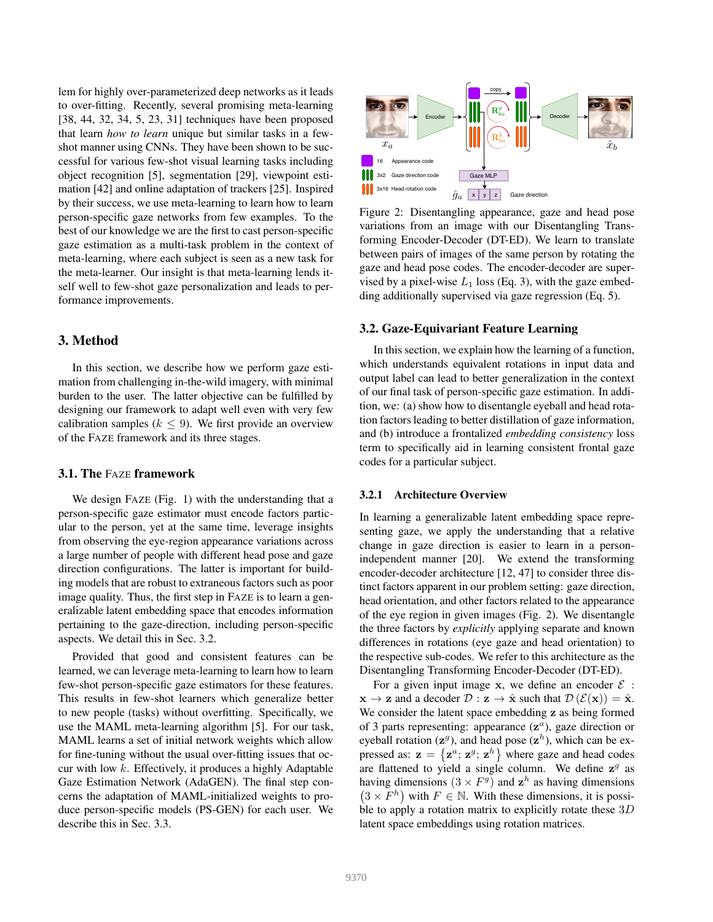lem for highly over-parameterized deep networks as it leads to over-fitting. Recently, several promising meta-learning [38, 44, 32, 34, 5, 23, 31] techniques have been proposed that learn *how to learn* unique but similar tasks in a fewshot manner using CNNs. They have been shown to be successful for various few-shot visual learning tasks including object recognition [5], segmentation [29], viewpoint estimation [42] and online adaptation of trackers [25]. Inspired by their success, we use meta-learning to learn how to learn person-specific gaze networks from few examples. To the best of our knowledge we are the first to cast person-specific gaze estimation as a multi-task problem in the context of meta-learning, where each subject is seen as a new task for the meta-learner. Our insight is that meta-learning lends itself well to few-shot gaze personalization and leads to performance improvements.

# 3. Method

In this section, we describe how we perform gaze estimation from challenging in-the-wild imagery, with minimal burden to the user. The latter objective can be fulfilled by designing our framework to adapt well even with very few calibration samples ( $k \leq 9$ ). We first provide an overview of the FAZE framework and its three stages.

# 3.1. The FAZE framework

We design FAZE (Fig. 1) with the understanding that a person-specific gaze estimator must encode factors particular to the person, yet at the same time, leverage insights from observing the eye-region appearance variations across a large number of people with different head pose and gaze direction configurations. The latter is important for building models that are robust to extraneous factors such as poor image quality. Thus, the first step in FAZE is to learn a generalizable latent embedding space that encodes information pertaining to the gaze-direction, including person-specific aspects. We detail this in Sec. 3.2.

Provided that good and consistent features can be learned, we can leverage meta-learning to learn how to learn few-shot person-specific gaze estimators for these features. This results in few-shot learners which generalize better to new people (tasks) without overfitting. Specifically, we use the MAML meta-learning algorithm [5]. For our task, MAML learns a set of initial network weights which allow for fine-tuning without the usual over-fitting issues that occur with low k. Effectively, it produces a highly Adaptable Gaze Estimation Network (AdaGEN). The final step concerns the adaptation of MAML-initialized weights to produce person-specific models (PS-GEN) for each user. We describe this in Sec. 3.3.



Figure 2: Disentangling appearance, gaze and head pose variations from an image with our Disentangling Transforming Encoder-Decoder (DT-ED). We learn to translate between pairs of images of the same person by rotating the gaze and head pose codes. The encoder-decoder are supervised by a pixel-wise  $L_1$  loss (Eq. 3), with the gaze embedding additionally supervised via gaze regression (Eq. 5).

#### 3.2. Gaze-Equivariant Feature Learning

In this section, we explain how the learning of a function, which understands equivalent rotations in input data and output label can lead to better generalization in the context of our final task of person-specific gaze estimation. In addition, we: (a) show how to disentangle eyeball and head rotation factors leading to better distillation of gaze information, and (b) introduce a frontalized *embedding consistency* loss term to specifically aid in learning consistent frontal gaze codes for a particular subject.

### 3.2.1 Architecture Overview

In learning a generalizable latent embedding space representing gaze, we apply the understanding that a relative change in gaze direction is easier to learn in a personindependent manner [20]. We extend the transforming encoder-decoder architecture [12, 47] to consider three distinct factors apparent in our problem setting: gaze direction, head orientation, and other factors related to the appearance of the eye region in given images (Fig. 2). We disentangle the three factors by *explicitly* applying separate and known differences in rotations (eye gaze and head orientation) to the respective sub-codes. We refer to this architecture as the Disentangling Transforming Encoder-Decoder (DT-ED).

For a given input image x, we define an encoder  $\mathcal{E}$ :  $\mathbf{x} \to \mathbf{z}$  and a decoder  $\mathcal{D} : \mathbf{z} \to \hat{\mathbf{x}}$  such that  $\mathcal{D}(\mathcal{E}(\mathbf{x})) = \hat{\mathbf{x}}$ . We consider the latent space embedding z as being formed of 3 parts representing: appearance  $(z^a)$ , gaze direction or eyeball rotation ( $z^g$ ), and head pose ( $z^h$ ), which can be expressed as:  $\mathbf{z} = \{ \mathbf{z}^a; \mathbf{z}^g; \mathbf{z}^h \}$  where gaze and head codes are flattened to yield a single column. We define  $z<sup>g</sup>$  as having dimensions  $(3 \times F^g)$  and  $z^h$  as having dimensions  $(3 \times F^h)$  with  $F \in \mathbb{N}$ . With these dimensions, it is possible to apply a rotation matrix to explicitly rotate these  $3D$ latent space embeddings using rotation matrices.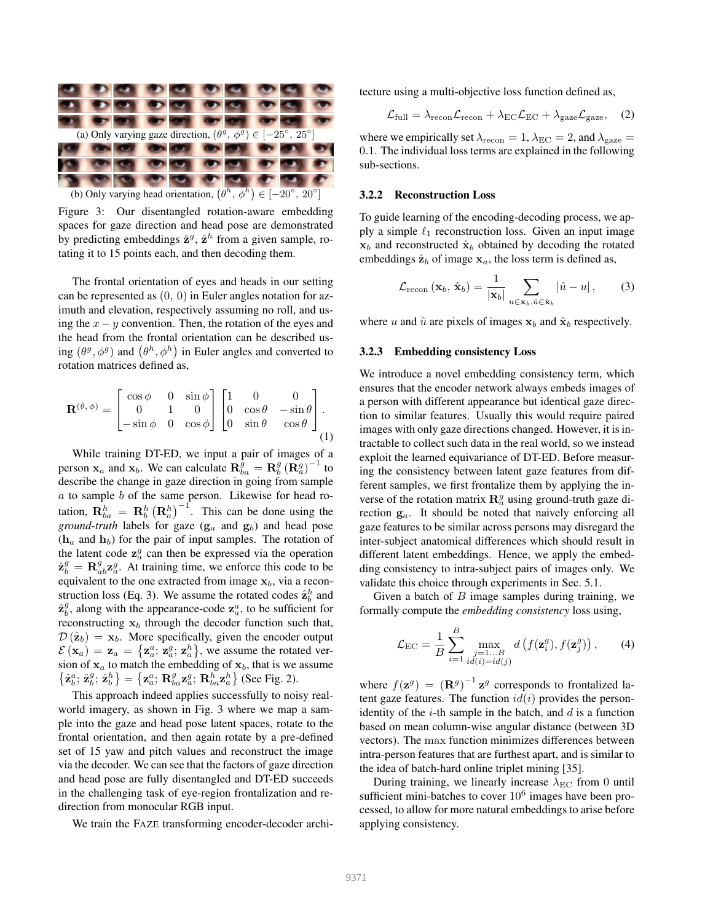

Figure 3: Our disentangled rotation-aware embedding spaces for gaze direction and head pose are demonstrated by predicting embeddings  $\hat{\mathbf{z}}^g$ ,  $\hat{\mathbf{z}}^h$  from a given sample, rotating it to 15 points each, and then decoding them.

The frontal orientation of eyes and heads in our setting can be represented as (0, 0) in Euler angles notation for azimuth and elevation, respectively assuming no roll, and using the  $x - y$  convention. Then, the rotation of the eyes and the head from the frontal orientation can be described using  $(\theta^g, \phi^g)$  and  $(\theta^h, \phi^h)$  in Euler angles and converted to rotation matrices defined as,

$$
\mathbf{R}^{(\theta,\phi)} = \begin{bmatrix} \cos\phi & 0 & \sin\phi \\ 0 & 1 & 0 \\ -\sin\phi & 0 & \cos\phi \end{bmatrix} \begin{bmatrix} 1 & 0 & 0 \\ 0 & \cos\theta & -\sin\theta \\ 0 & \sin\theta & \cos\theta \end{bmatrix}.
$$

$$
(1)
$$

While training DT-ED, we input a pair of images of a person  $\mathbf{x}_a$  and  $\mathbf{x}_b$ . We can calculate  $\mathbf{R}_{ba}^g = \mathbf{R}_b^g (\mathbf{R}_a^g)^{-1}$  to describe the change in gaze direction in going from sample  $a$  to sample  $b$  of the same person. Likewise for head rotation,  $\mathbf{R}_{ba}^{h} = \mathbf{R}_{b}^{h} (\mathbf{R}_{a}^{h})^{-1}$ . This can be done using the *ground-truth* labels for gaze  $(g_a$  and  $g_b)$  and head pose  $(h_a$  and  $h_b)$  for the pair of input samples. The rotation of the latent code  $z_a^g$  can then be expressed via the operation  $\hat{\mathbf{z}}_b^g = \mathbf{R}_{ab}^g \mathbf{z}_a^g$ . At training time, we enforce this code to be equivalent to the one extracted from image  $x_b$ , via a reconstruction loss (Eq. 3). We assume the rotated codes  $\hat{\mathbf{z}}_b^h$  and  $\hat{\mathbf{z}}_b^g$ , along with the appearance-code  $\mathbf{z}_a^a$ , to be sufficient for reconstructing  $x_b$  through the decoder function such that,  $\mathcal{D}(\hat{\mathbf{z}}_b) = \mathbf{x}_b$ . More specifically, given the encoder output  $\mathcal{E}\left(\mathbf{x}_a\right) = \mathbf{z}_a = \left\{\mathbf{z}_a^a; \mathbf{z}_a^g; \mathbf{z}_a^h\right\}$ , we assume the rotated version of  $x_a$  to match the embedding of  $x_b$ , that is we assume  $\left\{ \hat{\mathbf{z}}_{b}^{a};\,\hat{\mathbf{z}}_{b}^{b}\right\} =\left\{ \mathbf{z}_{a}^{a};\,\mathbf{R}_{ba}^{g}\mathbf{z}_{a}^{g};\,\mathbf{R}_{ba}^{h}\mathbf{z}_{a}^{h}\right\}$  (See Fig. 2).

This approach indeed applies successfully to noisy realworld imagery, as shown in Fig. 3 where we map a sample into the gaze and head pose latent spaces, rotate to the frontal orientation, and then again rotate by a pre-defined set of 15 yaw and pitch values and reconstruct the image via the decoder. We can see that the factors of gaze direction and head pose are fully disentangled and DT-ED succeeds in the challenging task of eye-region frontalization and redirection from monocular RGB input.

We train the FAZE transforming encoder-decoder archi-

tecture using a multi-objective loss function defined as,

$$
\mathcal{L}_{\text{full}} = \lambda_{\text{recon}} \mathcal{L}_{\text{recon}} + \lambda_{\text{EC}} \mathcal{L}_{\text{EC}} + \lambda_{\text{gaze}} \mathcal{L}_{\text{gaze}}, \quad (2)
$$

where we empirically set  $\lambda_{\text{recon}} = 1$ ,  $\lambda_{\text{EC}} = 2$ , and  $\lambda_{\text{gaze}} =$ 0.1. The individual loss terms are explained in the following sub-sections.

#### 3.2.2 Reconstruction Loss

To guide learning of the encoding-decoding process, we apply a simple  $\ell_1$  reconstruction loss. Given an input image  $x_b$  and reconstructed  $\hat{x}_b$  obtained by decoding the rotated embeddings  $\hat{\mathbf{z}}_b$  of image  $\mathbf{x}_a$ , the loss term is defined as,

$$
\mathcal{L}_{\text{recon}}\left(\mathbf{x}_{b}, \hat{\mathbf{x}}_{b}\right) = \frac{1}{|\mathbf{x}_{b}|} \sum_{u \in \mathbf{x}_{b}, \hat{u} \in \hat{\mathbf{x}}_{b}} |\hat{u} - u|, \quad (3)
$$

where u and  $\hat{u}$  are pixels of images  $x_b$  and  $\hat{x}_b$  respectively.

### 3.2.3 Embedding consistency Loss

We introduce a novel embedding consistency term, which ensures that the encoder network always embeds images of a person with different appearance but identical gaze direction to similar features. Usually this would require paired images with only gaze directions changed. However, it is intractable to collect such data in the real world, so we instead exploit the learned equivariance of DT-ED. Before measuring the consistency between latent gaze features from different samples, we first frontalize them by applying the inverse of the rotation matrix  $\mathbf{R}_{a}^{g}$  using ground-truth gaze direction  $g_a$ . It should be noted that naively enforcing all gaze features to be similar across persons may disregard the inter-subject anatomical differences which should result in different latent embeddings. Hence, we apply the embedding consistency to intra-subject pairs of images only. We validate this choice through experiments in Sec. 5.1.

Given a batch of  $B$  image samples during training, we formally compute the *embedding consistency* loss using,

$$
\mathcal{L}_{\text{EC}} = \frac{1}{B} \sum_{i=1}^{B} \max_{\substack{j=1...B \\ id(i)=id(j)}} d\left(f(\mathbf{z}_{i}^{g}), f(\mathbf{z}_{j}^{g})\right), \qquad (4)
$$

where  $f(\mathbf{z}^g) = (\mathbf{R}^g)^{-1} \mathbf{z}^g$  corresponds to frontalized latent gaze features. The function  $id(i)$  provides the personidentity of the  $i$ -th sample in the batch, and  $d$  is a function based on mean column-wise angular distance (between 3D vectors). The max function minimizes differences between intra-person features that are furthest apart, and is similar to the idea of batch-hard online triplet mining [35].

During training, we linearly increase  $\lambda_{\text{EC}}$  from 0 until sufficient mini-batches to cover  $10^6$  images have been processed, to allow for more natural embeddings to arise before applying consistency.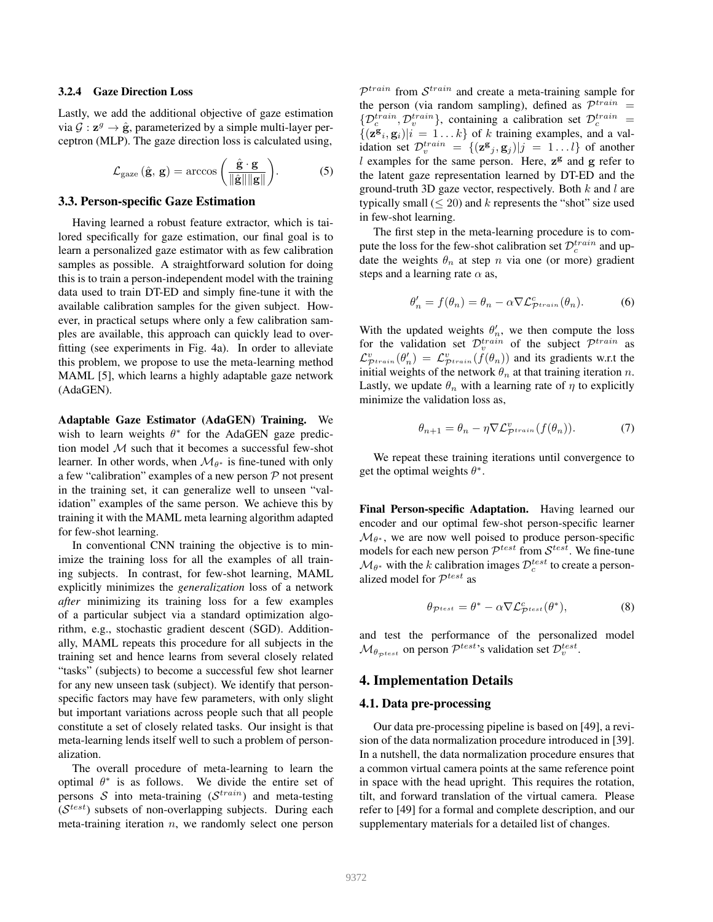#### 3.2.4 Gaze Direction Loss

Lastly, we add the additional objective of gaze estimation via  $\mathcal{G}: \mathbf{z}^g \to \hat{\mathbf{g}}$ , parameterized by a simple multi-layer perceptron (MLP). The gaze direction loss is calculated using,

$$
\mathcal{L}_{\text{gaze}}\left(\hat{\mathbf{g}}, \, \mathbf{g}\right) = \arccos\left(\frac{\hat{\mathbf{g}} \cdot \mathbf{g}}{\|\hat{\mathbf{g}}\| \|\mathbf{g}\|}\right). \tag{5}
$$

#### 3.3. Person-specific Gaze Estimation

Having learned a robust feature extractor, which is tailored specifically for gaze estimation, our final goal is to learn a personalized gaze estimator with as few calibration samples as possible. A straightforward solution for doing this is to train a person-independent model with the training data used to train DT-ED and simply fine-tune it with the available calibration samples for the given subject. However, in practical setups where only a few calibration samples are available, this approach can quickly lead to overfitting (see experiments in Fig. 4a). In order to alleviate this problem, we propose to use the meta-learning method MAML [5], which learns a highly adaptable gaze network (AdaGEN).

Adaptable Gaze Estimator (AdaGEN) Training. We wish to learn weights  $\theta^*$  for the AdaGEN gaze prediction model  $M$  such that it becomes a successful few-shot learner. In other words, when  $\mathcal{M}_{\theta^*}$  is fine-tuned with only a few "calibration" examples of a new person  $P$  not present in the training set, it can generalize well to unseen "validation" examples of the same person. We achieve this by training it with the MAML meta learning algorithm adapted for few-shot learning.

In conventional CNN training the objective is to minimize the training loss for all the examples of all training subjects. In contrast, for few-shot learning, MAML explicitly minimizes the *generalization* loss of a network *after* minimizing its training loss for a few examples of a particular subject via a standard optimization algorithm, e.g., stochastic gradient descent (SGD). Additionally, MAML repeats this procedure for all subjects in the training set and hence learns from several closely related "tasks" (subjects) to become a successful few shot learner for any new unseen task (subject). We identify that personspecific factors may have few parameters, with only slight but important variations across people such that all people constitute a set of closely related tasks. Our insight is that meta-learning lends itself well to such a problem of personalization.

The overall procedure of meta-learning to learn the optimal  $\theta^*$  is as follows. We divide the entire set of persons S into meta-training ( $\mathcal{S}^{train}$ ) and meta-testing  $(S<sup>test</sup>)$  subsets of non-overlapping subjects. During each meta-training iteration  $n$ , we randomly select one person

 $\mathcal{P}^{train}$  from  $\mathcal{S}^{train}$  and create a meta-training sample for the person (via random sampling), defined as  $\mathcal{P}^{train}$  =  $\{\mathcal{D}_c^{train}, \mathcal{D}_v^{train}\}\$ , containing a calibration set  $\mathcal{D}_c^{train}$  =  $\{(\mathbf{z}^{\mathbf{g}}_i, \mathbf{g}_i)|i = 1...k\}$  of k training examples, and a validation set  $\mathcal{D}_v^{train} = \{ (\mathbf{z} \mathbf{g}_j, \mathbf{g}_j) | j = 1...l \}$  of another l examples for the same person. Here,  $z^g$  and  $g$  refer to the latent gaze representation learned by DT-ED and the ground-truth 3D gaze vector, respectively. Both  $k$  and  $l$  are typically small  $(\leq 20)$  and k represents the "shot" size used in few-shot learning.

The first step in the meta-learning procedure is to compute the loss for the few-shot calibration set  $\mathcal{D}_c^{train}$  and update the weights  $\theta_n$  at step n via one (or more) gradient steps and a learning rate  $\alpha$  as,

$$
\theta'_n = f(\theta_n) = \theta_n - \alpha \nabla \mathcal{L}_{\mathcal{P}^{train}}^c(\theta_n). \tag{6}
$$

With the updated weights  $\theta'_n$ , we then compute the loss for the validation set  $\mathcal{D}_v^{train}$  of the subject  $\mathcal{P}_v^{train}$  as  $\mathcal{L}_{\mathcal{P}^{train}}^v(\theta'_n) = \mathcal{L}_{\mathcal{P}^{train}}^v(f(\theta_n))$  and its gradients w.r.t the initial weights of the network  $\theta_n$  at that training iteration n. Lastly, we update  $\theta_n$  with a learning rate of  $\eta$  to explicitly minimize the validation loss as,

$$
\theta_{n+1} = \theta_n - \eta \nabla \mathcal{L}_{\mathcal{P}^{train}}^v(f(\theta_n)).\tag{7}
$$

We repeat these training iterations until convergence to get the optimal weights  $\theta^*$ .

Final Person-specific Adaptation. Having learned our encoder and our optimal few-shot person-specific learner  $\mathcal{M}_{\theta^*}$ , we are now well poised to produce person-specific models for each new person  $\mathcal{P}^{test}$  from  $\mathcal{S}^{test}$ . We fine-tune  $\mathcal{M}_{\theta^*}$  with the k calibration images  $\mathcal{D}_c^{test}$  to create a personalized model for  $\mathcal{P}^{test}$  as

$$
\theta_{\mathcal{P}^{test}} = \theta^* - \alpha \nabla \mathcal{L}^c_{\mathcal{P}^{test}}(\theta^*),\tag{8}
$$

and test the performance of the personalized model  $\mathcal{M}_{\theta_{\mathcal{P}^{test}}}$  on person  $\mathcal{P}^{test}$ 's validation set  $\mathcal{D}^{test}_{v}$ .

# 4. Implementation Details

#### 4.1. Data pre-processing

Our data pre-processing pipeline is based on [49], a revision of the data normalization procedure introduced in [39]. In a nutshell, the data normalization procedure ensures that a common virtual camera points at the same reference point in space with the head upright. This requires the rotation, tilt, and forward translation of the virtual camera. Please refer to [49] for a formal and complete description, and our supplementary materials for a detailed list of changes.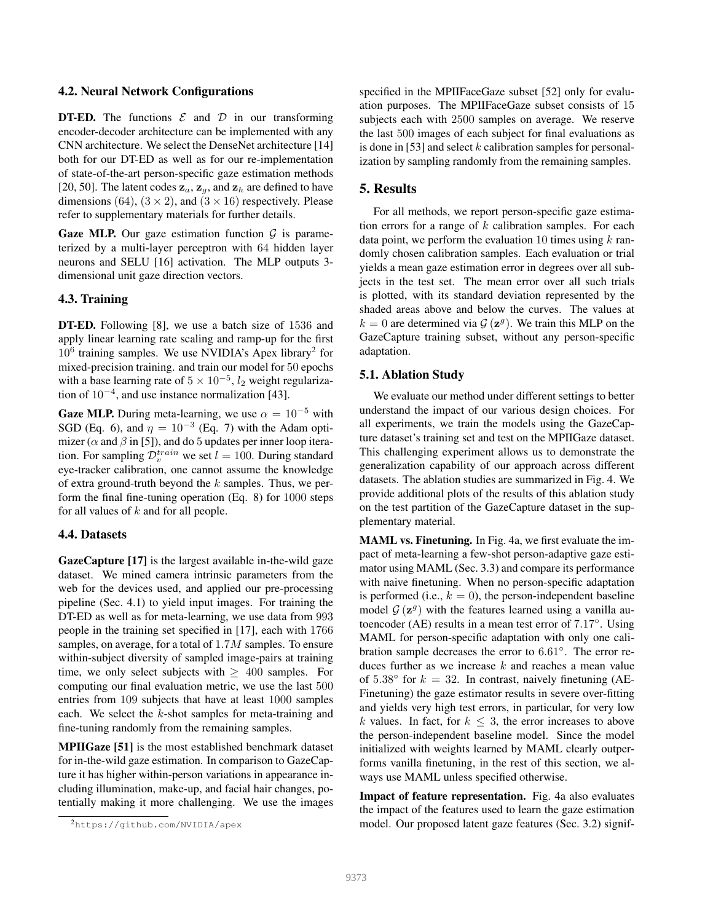# 4.2. Neural Network Configurations

**DT-ED.** The functions  $\mathcal{E}$  and  $\mathcal{D}$  in our transforming encoder-decoder architecture can be implemented with any CNN architecture. We select the DenseNet architecture [14] both for our DT-ED as well as for our re-implementation of state-of-the-art person-specific gaze estimation methods [20, 50]. The latent codes  $z_a$ ,  $z_g$ , and  $z_h$  are defined to have dimensions (64),  $(3 \times 2)$ , and  $(3 \times 16)$  respectively. Please refer to supplementary materials for further details.

**Gaze MLP.** Our gaze estimation function  $\mathcal{G}$  is parameterized by a multi-layer perceptron with 64 hidden layer neurons and SELU [16] activation. The MLP outputs 3 dimensional unit gaze direction vectors.

### 4.3. Training

DT-ED. Following [8], we use a batch size of 1536 and apply linear learning rate scaling and ramp-up for the first 10<sup>6</sup> training samples. We use NVIDIA's Apex library<sup>2</sup> for mixed-precision training. and train our model for 50 epochs with a base learning rate of  $5 \times 10^{-5}$ ,  $l_2$  weight regularization of 10<sup>−</sup><sup>4</sup> , and use instance normalization [43].

**Gaze MLP.** During meta-learning, we use  $\alpha = 10^{-5}$  with SGD (Eq. 6), and  $\eta = 10^{-3}$  (Eq. 7) with the Adam optimizer ( $\alpha$  and  $\beta$  in [5]), and do 5 updates per inner loop iteration. For sampling  $\mathcal{D}_v^{train}$  we set  $l = 100$ . During standard eye-tracker calibration, one cannot assume the knowledge of extra ground-truth beyond the  $k$  samples. Thus, we perform the final fine-tuning operation (Eq. 8) for 1000 steps for all values of  $k$  and for all people.

# 4.4. Datasets

GazeCapture [17] is the largest available in-the-wild gaze dataset. We mined camera intrinsic parameters from the web for the devices used, and applied our pre-processing pipeline (Sec. 4.1) to yield input images. For training the DT-ED as well as for meta-learning, we use data from 993 people in the training set specified in [17], each with 1766 samples, on average, for a total of 1.7M samples. To ensure within-subject diversity of sampled image-pairs at training time, we only select subjects with  $\geq 400$  samples. For computing our final evaluation metric, we use the last 500 entries from 109 subjects that have at least 1000 samples each. We select the k-shot samples for meta-training and fine-tuning randomly from the remaining samples.

MPIIGaze [51] is the most established benchmark dataset for in-the-wild gaze estimation. In comparison to GazeCapture it has higher within-person variations in appearance including illumination, make-up, and facial hair changes, potentially making it more challenging. We use the images

specified in the MPIIFaceGaze subset [52] only for evaluation purposes. The MPIIFaceGaze subset consists of 15 subjects each with 2500 samples on average. We reserve the last 500 images of each subject for final evaluations as is done in [53] and select  $k$  calibration samples for personalization by sampling randomly from the remaining samples.

# 5. Results

For all methods, we report person-specific gaze estimation errors for a range of  $k$  calibration samples. For each data point, we perform the evaluation 10 times using  $k$  randomly chosen calibration samples. Each evaluation or trial yields a mean gaze estimation error in degrees over all subjects in the test set. The mean error over all such trials is plotted, with its standard deviation represented by the shaded areas above and below the curves. The values at  $k = 0$  are determined via  $\mathcal{G}(\mathbf{z}^g)$ . We train this MLP on the GazeCapture training subset, without any person-specific adaptation.

### 5.1. Ablation Study

We evaluate our method under different settings to better understand the impact of our various design choices. For all experiments, we train the models using the GazeCapture dataset's training set and test on the MPIIGaze dataset. This challenging experiment allows us to demonstrate the generalization capability of our approach across different datasets. The ablation studies are summarized in Fig. 4. We provide additional plots of the results of this ablation study on the test partition of the GazeCapture dataset in the supplementary material.

MAML vs. Finetuning. In Fig. 4a, we first evaluate the impact of meta-learning a few-shot person-adaptive gaze estimator using MAML (Sec. 3.3) and compare its performance with naive finetuning. When no person-specific adaptation is performed (i.e.,  $k = 0$ ), the person-independent baseline model  $G(\mathbf{z}^g)$  with the features learned using a vanilla autoencoder (AE) results in a mean test error of 7.17◦ . Using MAML for person-specific adaptation with only one calibration sample decreases the error to 6.61°. The error reduces further as we increase  $k$  and reaches a mean value of 5.38 $\degree$  for  $k = 32$ . In contrast, naively finetuning (AE-Finetuning) the gaze estimator results in severe over-fitting and yields very high test errors, in particular, for very low k values. In fact, for  $k \leq 3$ , the error increases to above the person-independent baseline model. Since the model initialized with weights learned by MAML clearly outperforms vanilla finetuning, in the rest of this section, we always use MAML unless specified otherwise.

Impact of feature representation. Fig. 4a also evaluates the impact of the features used to learn the gaze estimation model. Our proposed latent gaze features (Sec. 3.2) signif-

<sup>2</sup>https://github.com/NVIDIA/apex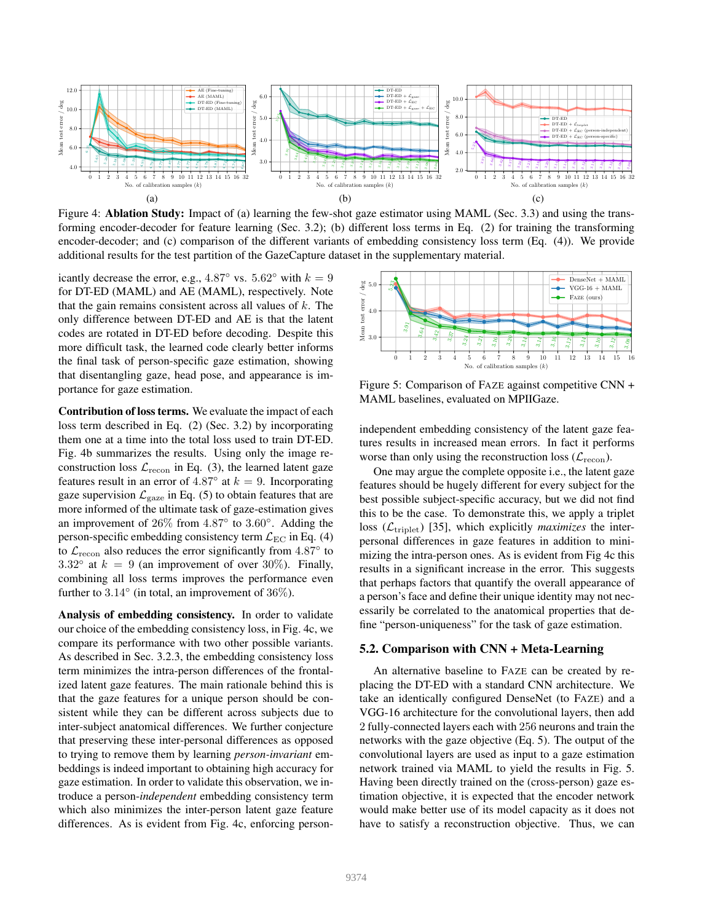

Figure 4: Ablation Study: Impact of (a) learning the few-shot gaze estimator using MAML (Sec. 3.3) and using the transforming encoder-decoder for feature learning (Sec. 3.2); (b) different loss terms in Eq. (2) for training the transforming encoder-decoder; and (c) comparison of the different variants of embedding consistency loss term (Eq. (4)). We provide additional results for the test partition of the GazeCapture dataset in the supplementary material.

icantly decrease the error, e.g., 4.87 $\degree$  vs. 5.62 $\degree$  with  $k = 9$ for DT-ED (MAML) and AE (MAML), respectively. Note that the gain remains consistent across all values of  $k$ . The only difference between DT-ED and AE is that the latent codes are rotated in DT-ED before decoding. Despite this more difficult task, the learned code clearly better informs the final task of person-specific gaze estimation, showing that disentangling gaze, head pose, and appearance is importance for gaze estimation.

Contribution of loss terms. We evaluate the impact of each loss term described in Eq. (2) (Sec. 3.2) by incorporating them one at a time into the total loss used to train DT-ED. Fig. 4b summarizes the results. Using only the image reconstruction loss  $\mathcal{L}_{\text{recon}}$  in Eq. (3), the learned latent gaze features result in an error of  $4.87^\circ$  at  $k = 9$ . Incorporating gaze supervision  $\mathcal{L}_{\text{gaze}}$  in Eq. (5) to obtain features that are more informed of the ultimate task of gaze-estimation gives an improvement of 26% from 4.87◦ to 3.60◦ . Adding the person-specific embedding consistency term  $\mathcal{L}_{\text{EC}}$  in Eq. (4) to  $\mathcal{L}_{\text{recon}}$  also reduces the error significantly from  $4.87^\circ$  to 3.32° at  $k = 9$  (an improvement of over 30%). Finally, combining all loss terms improves the performance even further to  $3.14^{\circ}$  (in total, an improvement of  $36\%$ ).

Analysis of embedding consistency. In order to validate our choice of the embedding consistency loss, in Fig. 4c, we compare its performance with two other possible variants. As described in Sec. 3.2.3, the embedding consistency loss term minimizes the intra-person differences of the frontalized latent gaze features. The main rationale behind this is that the gaze features for a unique person should be consistent while they can be different across subjects due to inter-subject anatomical differences. We further conjecture that preserving these inter-personal differences as opposed to trying to remove them by learning *person-invariant* embeddings is indeed important to obtaining high accuracy for gaze estimation. In order to validate this observation, we introduce a person-*independent* embedding consistency term which also minimizes the inter-person latent gaze feature differences. As is evident from Fig. 4c, enforcing person-



Figure 5: Comparison of FAZE against competitive CNN + MAML baselines, evaluated on MPIIGaze.

independent embedding consistency of the latent gaze features results in increased mean errors. In fact it performs worse than only using the reconstruction loss  $(\mathcal{L}_{\text{recon}})$ .

One may argue the complete opposite i.e., the latent gaze features should be hugely different for every subject for the best possible subject-specific accuracy, but we did not find this to be the case. To demonstrate this, we apply a triplet loss  $(\mathcal{L}_{\text{triplet}})$  [35], which explicitly *maximizes* the interpersonal differences in gaze features in addition to minimizing the intra-person ones. As is evident from Fig 4c this results in a significant increase in the error. This suggests that perhaps factors that quantify the overall appearance of a person's face and define their unique identity may not necessarily be correlated to the anatomical properties that define "person-uniqueness" for the task of gaze estimation.

## 5.2. Comparison with CNN + Meta-Learning

An alternative baseline to FAZE can be created by replacing the DT-ED with a standard CNN architecture. We take an identically configured DenseNet (to FAZE) and a VGG-16 architecture for the convolutional layers, then add 2 fully-connected layers each with 256 neurons and train the networks with the gaze objective (Eq. 5). The output of the convolutional layers are used as input to a gaze estimation network trained via MAML to yield the results in Fig. 5. Having been directly trained on the (cross-person) gaze estimation objective, it is expected that the encoder network would make better use of its model capacity as it does not have to satisfy a reconstruction objective. Thus, we can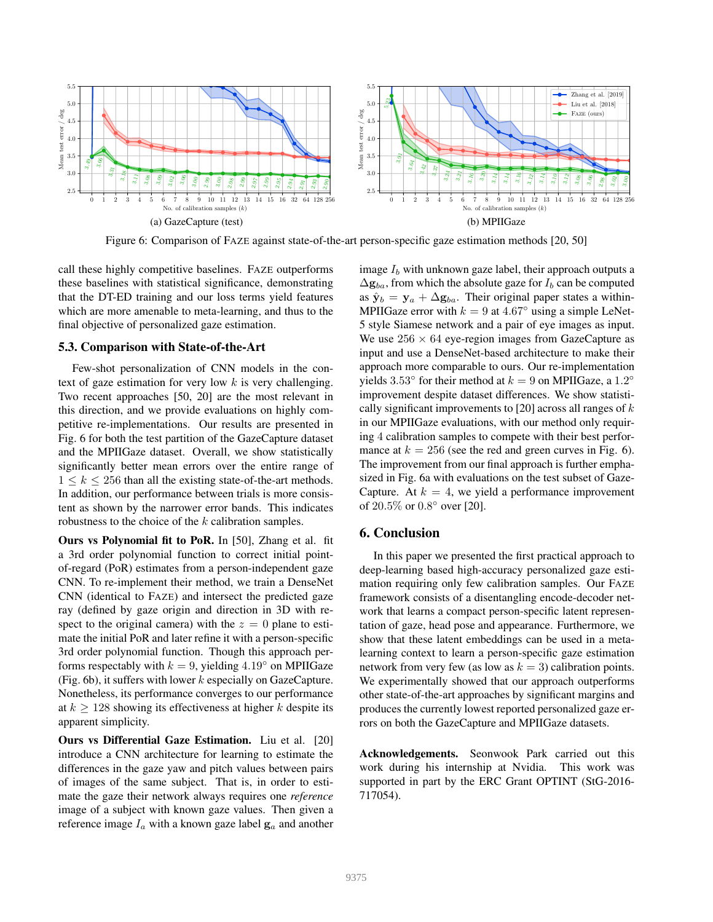

Figure 6: Comparison of FAZE against state-of-the-art person-specific gaze estimation methods [20, 50]

call these highly competitive baselines. FAZE outperforms these baselines with statistical significance, demonstrating that the DT-ED training and our loss terms yield features which are more amenable to meta-learning, and thus to the final objective of personalized gaze estimation.

# 5.3. Comparison with State-of-the-Art

Few-shot personalization of CNN models in the context of gaze estimation for very low  $k$  is very challenging. Two recent approaches [50, 20] are the most relevant in this direction, and we provide evaluations on highly competitive re-implementations. Our results are presented in Fig. 6 for both the test partition of the GazeCapture dataset and the MPIIGaze dataset. Overall, we show statistically significantly better mean errors over the entire range of  $1 \leq k \leq 256$  than all the existing state-of-the-art methods. In addition, our performance between trials is more consistent as shown by the narrower error bands. This indicates robustness to the choice of the k calibration samples.

Ours vs Polynomial fit to PoR. In [50], Zhang et al. fit a 3rd order polynomial function to correct initial pointof-regard (PoR) estimates from a person-independent gaze CNN. To re-implement their method, we train a DenseNet CNN (identical to FAZE) and intersect the predicted gaze ray (defined by gaze origin and direction in 3D with respect to the original camera) with the  $z = 0$  plane to estimate the initial PoR and later refine it with a person-specific 3rd order polynomial function. Though this approach performs respectably with  $k = 9$ , yielding 4.19 $\degree$  on MPIIGaze (Fig. 6b), it suffers with lower  $k$  especially on GazeCapture. Nonetheless, its performance converges to our performance at  $k \geq 128$  showing its effectiveness at higher k despite its apparent simplicity.

Ours vs Differential Gaze Estimation. Liu et al. [20] introduce a CNN architecture for learning to estimate the differences in the gaze yaw and pitch values between pairs of images of the same subject. That is, in order to estimate the gaze their network always requires one *reference* image of a subject with known gaze values. Then given a reference image  $I_a$  with a known gaze label  $g_a$  and another image  $I<sub>b</sub>$  with unknown gaze label, their approach outputs a  $\Delta$ g<sub>ba</sub>, from which the absolute gaze for  $I_b$  can be computed as  $\hat{\mathbf{y}}_b = \mathbf{y}_a + \Delta \mathbf{g}_{ba}$ . Their original paper states a within-MPIIGaze error with  $k = 9$  at  $4.67°$  using a simple LeNet-5 style Siamese network and a pair of eye images as input. We use  $256 \times 64$  eye-region images from GazeCapture as input and use a DenseNet-based architecture to make their approach more comparable to ours. Our re-implementation yields 3.53° for their method at  $k = 9$  on MPIIGaze, a 1.2° improvement despite dataset differences. We show statistically significant improvements to [20] across all ranges of  $k$ in our MPIIGaze evaluations, with our method only requiring 4 calibration samples to compete with their best performance at  $k = 256$  (see the red and green curves in Fig. 6). The improvement from our final approach is further emphasized in Fig. 6a with evaluations on the test subset of Gaze-Capture. At  $k = 4$ , we yield a performance improvement of 20.5% or 0.8 ◦ over [20].

# 6. Conclusion

In this paper we presented the first practical approach to deep-learning based high-accuracy personalized gaze estimation requiring only few calibration samples. Our FAZE framework consists of a disentangling encode-decoder network that learns a compact person-specific latent representation of gaze, head pose and appearance. Furthermore, we show that these latent embeddings can be used in a metalearning context to learn a person-specific gaze estimation network from very few (as low as  $k = 3$ ) calibration points. We experimentally showed that our approach outperforms other state-of-the-art approaches by significant margins and produces the currently lowest reported personalized gaze errors on both the GazeCapture and MPIIGaze datasets.

Acknowledgements. Seonwook Park carried out this work during his internship at Nvidia. This work was supported in part by the ERC Grant OPTINT (StG-2016- 717054).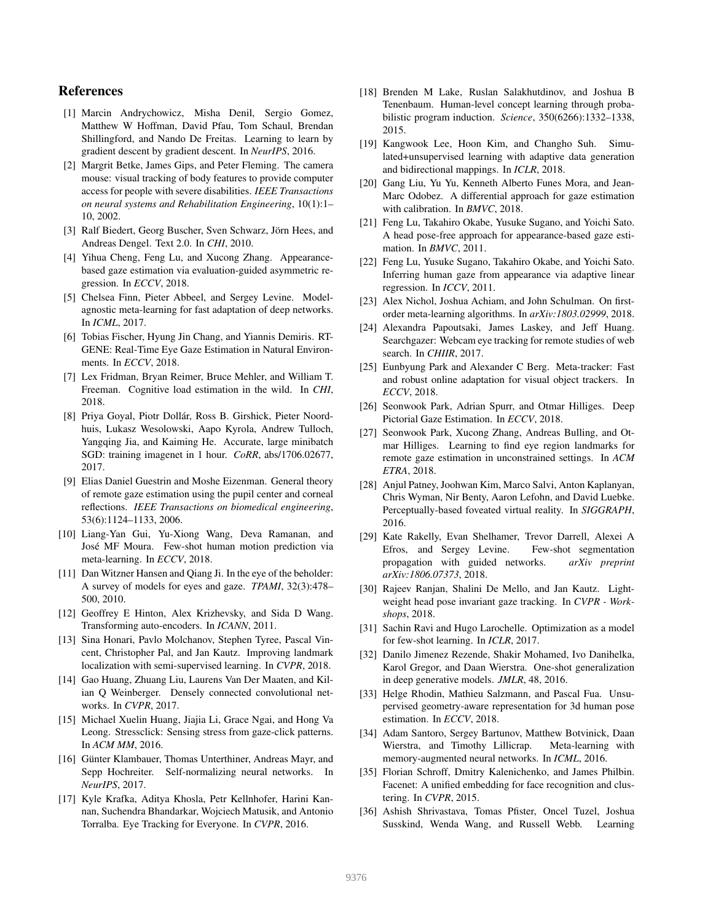# References

- [1] Marcin Andrychowicz, Misha Denil, Sergio Gomez, Matthew W Hoffman, David Pfau, Tom Schaul, Brendan Shillingford, and Nando De Freitas. Learning to learn by gradient descent by gradient descent. In *NeurIPS*, 2016.
- [2] Margrit Betke, James Gips, and Peter Fleming. The camera mouse: visual tracking of body features to provide computer access for people with severe disabilities. *IEEE Transactions on neural systems and Rehabilitation Engineering*, 10(1):1– 10, 2002.
- [3] Ralf Biedert, Georg Buscher, Sven Schwarz, Jörn Hees, and Andreas Dengel. Text 2.0. In *CHI*, 2010.
- [4] Yihua Cheng, Feng Lu, and Xucong Zhang. Appearancebased gaze estimation via evaluation-guided asymmetric regression. In *ECCV*, 2018.
- [5] Chelsea Finn, Pieter Abbeel, and Sergey Levine. Modelagnostic meta-learning for fast adaptation of deep networks. In *ICML*, 2017.
- [6] Tobias Fischer, Hyung Jin Chang, and Yiannis Demiris. RT-GENE: Real-Time Eye Gaze Estimation in Natural Environments. In *ECCV*, 2018.
- [7] Lex Fridman, Bryan Reimer, Bruce Mehler, and William T. Freeman. Cognitive load estimation in the wild. In *CHI*, 2018.
- [8] Priya Goyal, Piotr Dollár, Ross B. Girshick, Pieter Noordhuis, Lukasz Wesolowski, Aapo Kyrola, Andrew Tulloch, Yangqing Jia, and Kaiming He. Accurate, large minibatch SGD: training imagenet in 1 hour. *CoRR*, abs/1706.02677, 2017.
- [9] Elias Daniel Guestrin and Moshe Eizenman. General theory of remote gaze estimation using the pupil center and corneal reflections. *IEEE Transactions on biomedical engineering*, 53(6):1124–1133, 2006.
- [10] Liang-Yan Gui, Yu-Xiong Wang, Deva Ramanan, and Jose MF Moura. Few-shot human motion prediction via ´ meta-learning. In *ECCV*, 2018.
- [11] Dan Witzner Hansen and Qiang Ji. In the eye of the beholder: A survey of models for eyes and gaze. *TPAMI*, 32(3):478– 500, 2010.
- [12] Geoffrey E Hinton, Alex Krizhevsky, and Sida D Wang. Transforming auto-encoders. In *ICANN*, 2011.
- [13] Sina Honari, Pavlo Molchanov, Stephen Tyree, Pascal Vincent, Christopher Pal, and Jan Kautz. Improving landmark localization with semi-supervised learning. In *CVPR*, 2018.
- [14] Gao Huang, Zhuang Liu, Laurens Van Der Maaten, and Kilian Q Weinberger. Densely connected convolutional networks. In *CVPR*, 2017.
- [15] Michael Xuelin Huang, Jiajia Li, Grace Ngai, and Hong Va Leong. Stressclick: Sensing stress from gaze-click patterns. In *ACM MM*, 2016.
- [16] Günter Klambauer, Thomas Unterthiner, Andreas Mayr, and Sepp Hochreiter. Self-normalizing neural networks. In *NeurIPS*, 2017.
- [17] Kyle Krafka, Aditya Khosla, Petr Kellnhofer, Harini Kannan, Suchendra Bhandarkar, Wojciech Matusik, and Antonio Torralba. Eye Tracking for Everyone. In *CVPR*, 2016.
- [18] Brenden M Lake, Ruslan Salakhutdinov, and Joshua B Tenenbaum. Human-level concept learning through probabilistic program induction. *Science*, 350(6266):1332–1338, 2015.
- [19] Kangwook Lee, Hoon Kim, and Changho Suh. Simulated+unsupervised learning with adaptive data generation and bidirectional mappings. In *ICLR*, 2018.
- [20] Gang Liu, Yu Yu, Kenneth Alberto Funes Mora, and Jean-Marc Odobez. A differential approach for gaze estimation with calibration. In *BMVC*, 2018.
- [21] Feng Lu, Takahiro Okabe, Yusuke Sugano, and Yoichi Sato. A head pose-free approach for appearance-based gaze estimation. In *BMVC*, 2011.
- [22] Feng Lu, Yusuke Sugano, Takahiro Okabe, and Yoichi Sato. Inferring human gaze from appearance via adaptive linear regression. In *ICCV*, 2011.
- [23] Alex Nichol, Joshua Achiam, and John Schulman. On firstorder meta-learning algorithms. In *arXiv:1803.02999*, 2018.
- [24] Alexandra Papoutsaki, James Laskey, and Jeff Huang. Searchgazer: Webcam eye tracking for remote studies of web search. In *CHIIR*, 2017.
- [25] Eunbyung Park and Alexander C Berg. Meta-tracker: Fast and robust online adaptation for visual object trackers. In *ECCV*, 2018.
- [26] Seonwook Park, Adrian Spurr, and Otmar Hilliges. Deep Pictorial Gaze Estimation. In *ECCV*, 2018.
- [27] Seonwook Park, Xucong Zhang, Andreas Bulling, and Otmar Hilliges. Learning to find eye region landmarks for remote gaze estimation in unconstrained settings. In *ACM ETRA*, 2018.
- [28] Anjul Patney, Joohwan Kim, Marco Salvi, Anton Kaplanyan, Chris Wyman, Nir Benty, Aaron Lefohn, and David Luebke. Perceptually-based foveated virtual reality. In *SIGGRAPH*, 2016.
- [29] Kate Rakelly, Evan Shelhamer, Trevor Darrell, Alexei A Efros, and Sergey Levine. Few-shot segmentation propagation with guided networks. *arXiv preprint arXiv:1806.07373*, 2018.
- [30] Rajeev Ranjan, Shalini De Mello, and Jan Kautz. Lightweight head pose invariant gaze tracking. In *CVPR - Workshops*, 2018.
- [31] Sachin Ravi and Hugo Larochelle. Optimization as a model for few-shot learning. In *ICLR*, 2017.
- [32] Danilo Jimenez Rezende, Shakir Mohamed, Ivo Danihelka, Karol Gregor, and Daan Wierstra. One-shot generalization in deep generative models. *JMLR*, 48, 2016.
- [33] Helge Rhodin, Mathieu Salzmann, and Pascal Fua. Unsupervised geometry-aware representation for 3d human pose estimation. In *ECCV*, 2018.
- [34] Adam Santoro, Sergey Bartunov, Matthew Botvinick, Daan Wierstra, and Timothy Lillicrap. Meta-learning with memory-augmented neural networks. In *ICML*, 2016.
- [35] Florian Schroff, Dmitry Kalenichenko, and James Philbin. Facenet: A unified embedding for face recognition and clustering. In *CVPR*, 2015.
- [36] Ashish Shrivastava, Tomas Pfister, Oncel Tuzel, Joshua Susskind, Wenda Wang, and Russell Webb. Learning